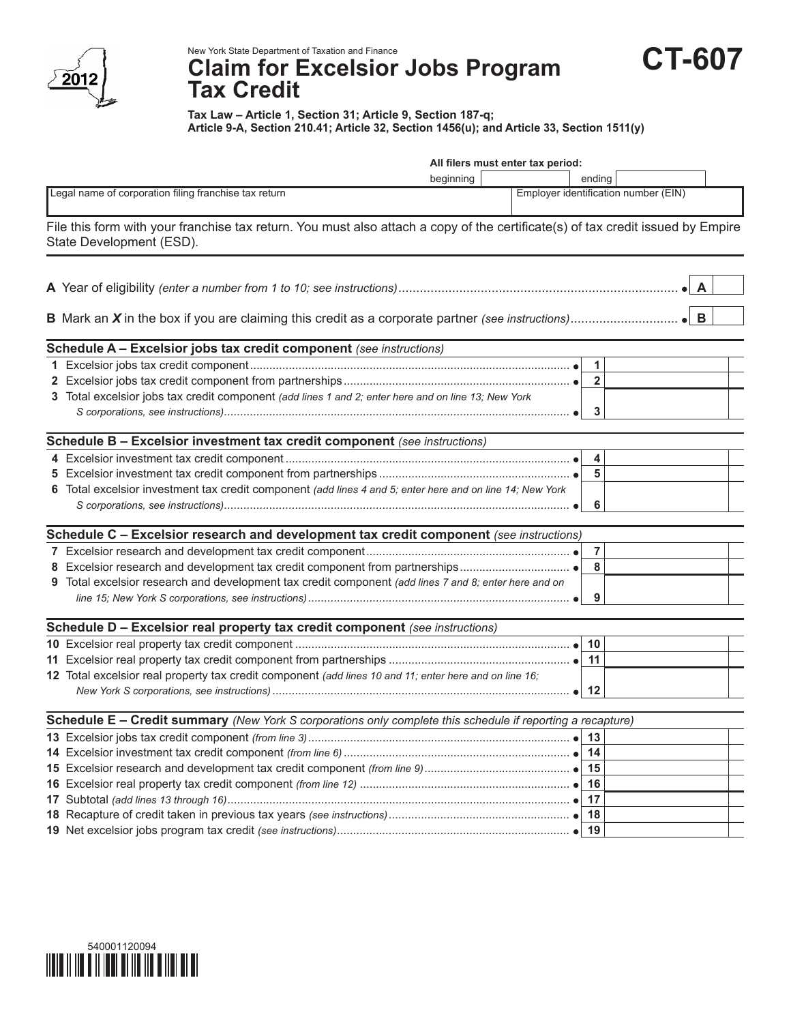

New York State Department of Taxation and Finance

## **Claim for Excelsior Jobs Program Tax Credit**

**Tax Law – Article 1, Section 31; Article 9, Section 187-q; Article 9-A, Section 210.41; Article 32, Section 1456(u); and Article 33, Section 1511(y)**

**CT-607**

| All filers must enter tax period:                     |                                                                                                                                                             |           |                                      |                |   |
|-------------------------------------------------------|-------------------------------------------------------------------------------------------------------------------------------------------------------------|-----------|--------------------------------------|----------------|---|
|                                                       |                                                                                                                                                             | beginning |                                      | ending         |   |
| Legal name of corporation filing franchise tax return |                                                                                                                                                             |           | Employer identification number (EIN) |                |   |
|                                                       | File this form with your franchise tax return. You must also attach a copy of the certificate(s) of tax credit issued by Empire<br>State Development (ESD). |           |                                      |                |   |
|                                                       |                                                                                                                                                             |           |                                      |                | A |
|                                                       |                                                                                                                                                             |           |                                      |                | B |
|                                                       | Schedule A - Excelsior jobs tax credit component (see instructions)                                                                                         |           |                                      |                |   |
|                                                       |                                                                                                                                                             |           |                                      | $\mathbf{1}$   |   |
|                                                       |                                                                                                                                                             |           |                                      | $\overline{2}$ |   |
|                                                       | 3 Total excelsior jobs tax credit component (add lines 1 and 2; enter here and on line 13; New York                                                         |           |                                      | 3              |   |
|                                                       | Schedule B - Excelsior investment tax credit component (see instructions)                                                                                   |           |                                      |                |   |
|                                                       |                                                                                                                                                             |           |                                      | 4              |   |
|                                                       |                                                                                                                                                             |           |                                      | 5              |   |
|                                                       | 6 Total excelsior investment tax credit component (add lines 4 and 5; enter here and on line 14; New York                                                   |           |                                      |                |   |
|                                                       |                                                                                                                                                             |           |                                      | 6              |   |
|                                                       | Schedule C - Excelsior research and development tax credit component (see instructions)                                                                     |           |                                      |                |   |
|                                                       |                                                                                                                                                             |           |                                      | $\overline{7}$ |   |
|                                                       |                                                                                                                                                             |           |                                      | 8              |   |
|                                                       | 9 Total excelsior research and development tax credit component (add lines 7 and 8; enter here and on                                                       |           |                                      |                |   |
|                                                       |                                                                                                                                                             |           |                                      | 9              |   |
|                                                       | Schedule D - Excelsior real property tax credit component (see instructions)                                                                                |           |                                      |                |   |
|                                                       |                                                                                                                                                             |           |                                      | 10             |   |
|                                                       |                                                                                                                                                             |           |                                      | 11             |   |
|                                                       | 12 Total excelsior real property tax credit component (add lines 10 and 11; enter here and on line 16;                                                      |           |                                      |                |   |
|                                                       |                                                                                                                                                             |           |                                      |                |   |
|                                                       | Schedule E - Credit summary (New York S corporations only complete this schedule if reporting a recapture)                                                  |           |                                      |                |   |
|                                                       |                                                                                                                                                             |           |                                      |                |   |
|                                                       |                                                                                                                                                             |           |                                      |                |   |
|                                                       |                                                                                                                                                             |           |                                      | 15             |   |
|                                                       |                                                                                                                                                             |           |                                      | 16             |   |
|                                                       |                                                                                                                                                             |           |                                      | 17             |   |

**18** Recapture of credit taken in previous tax years *(see instructions)........................................................* **18 19** Net excelsior jobs program tax credit *(see instructions)........................................................................* **19**